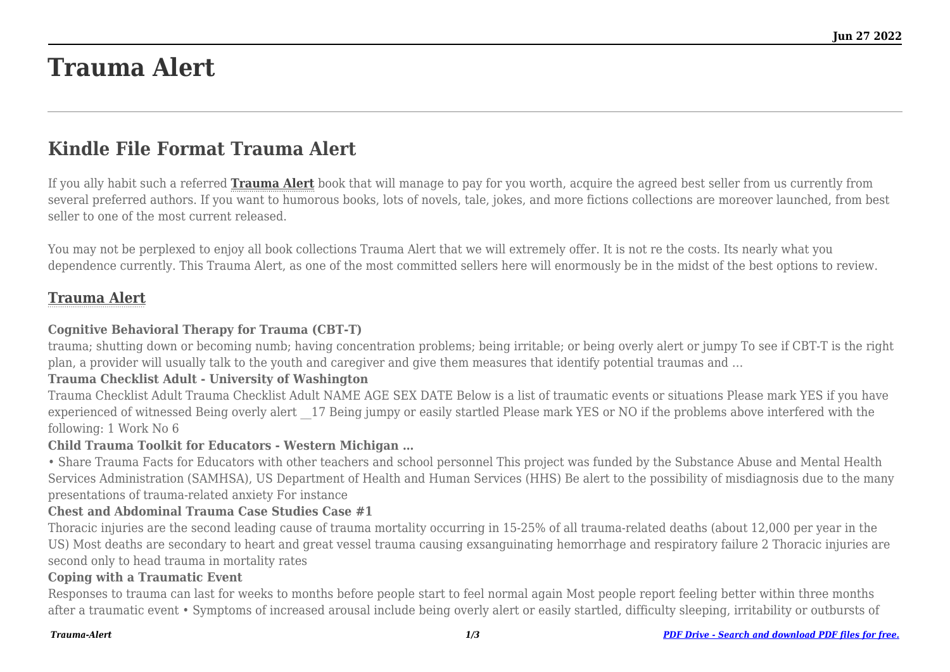# **Trauma Alert**

## **Kindle File Format Trauma Alert**

If you ally habit such a referred **[Trauma Alert](http://theknottedllama.com)** book that will manage to pay for you worth, acquire the agreed best seller from us currently from several preferred authors. If you want to humorous books, lots of novels, tale, jokes, and more fictions collections are moreover launched, from best seller to one of the most current released.

You may not be perplexed to enjoy all book collections Trauma Alert that we will extremely offer. It is not re the costs. Its nearly what you dependence currently. This Trauma Alert, as one of the most committed sellers here will enormously be in the midst of the best options to review.

#### **[Trauma Alert](http://theknottedllama.com/Trauma-Alert.pdf)**

#### **Cognitive Behavioral Therapy for Trauma (CBT-T)**

trauma; shutting down or becoming numb; having concentration problems; being irritable; or being overly alert or jumpy To see if CBT-T is the right plan, a provider will usually talk to the youth and caregiver and give them measures that identify potential traumas and …

#### **Trauma Checklist Adult - University of Washington**

Trauma Checklist Adult Trauma Checklist Adult NAME AGE SEX DATE Below is a list of traumatic events or situations Please mark YES if you have experienced of witnessed Being overly alert 17 Being jumpy or easily startled Please mark YES or NO if the problems above interfered with the following: 1 Work No 6

#### **Child Trauma Toolkit for Educators - Western Michigan …**

• Share Trauma Facts for Educators with other teachers and school personnel This project was funded by the Substance Abuse and Mental Health Services Administration (SAMHSA), US Department of Health and Human Services (HHS) Be alert to the possibility of misdiagnosis due to the many presentations of trauma-related anxiety For instance

#### **Chest and Abdominal Trauma Case Studies Case #1**

Thoracic injuries are the second leading cause of trauma mortality occurring in 15-25% of all trauma-related deaths (about 12,000 per year in the US) Most deaths are secondary to heart and great vessel trauma causing exsanguinating hemorrhage and respiratory failure 2 Thoracic injuries are second only to head trauma in mortality rates

#### **Coping with a Traumatic Event**

Responses to trauma can last for weeks to months before people start to feel normal again Most people report feeling better within three months after a traumatic event • Symptoms of increased arousal include being overly alert or easily startled, difficulty sleeping, irritability or outbursts of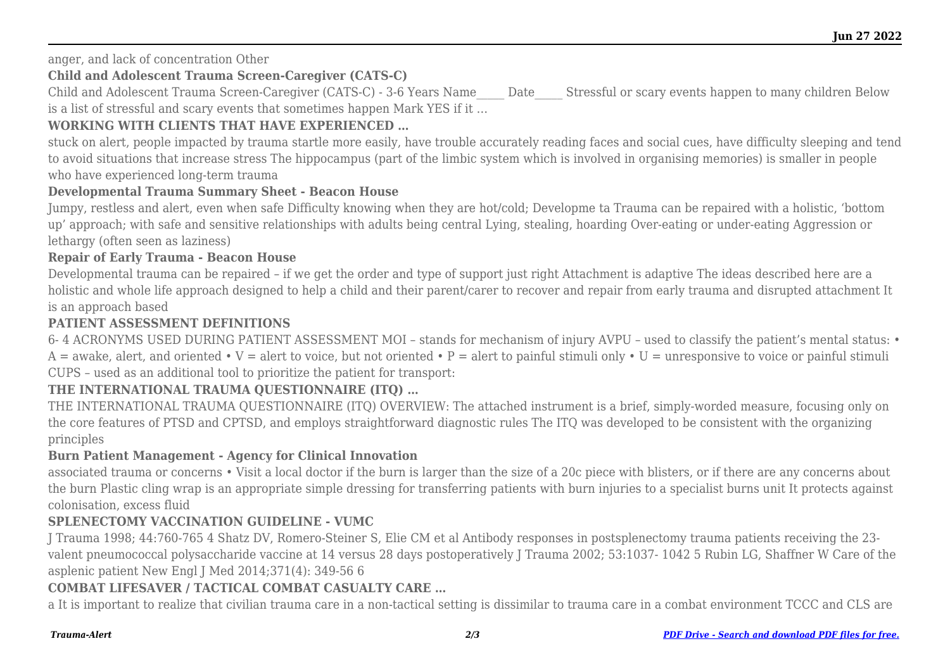anger, and lack of concentration Other

#### **Child and Adolescent Trauma Screen-Caregiver (CATS-C)**

Child and Adolescent Trauma Screen-Caregiver (CATS-C) - 3-6 Years Name\_\_\_\_\_ Date\_\_\_\_\_ Stressful or scary events happen to many children Below is a list of stressful and scary events that sometimes happen Mark YES if it …

#### **WORKING WITH CLIENTS THAT HAVE EXPERIENCED …**

stuck on alert, people impacted by trauma startle more easily, have trouble accurately reading faces and social cues, have difficulty sleeping and tend to avoid situations that increase stress The hippocampus (part of the limbic system which is involved in organising memories) is smaller in people who have experienced long-term trauma

#### **Developmental Trauma Summary Sheet - Beacon House**

Jumpy, restless and alert, even when safe Difficulty knowing when they are hot/cold; Developme ta Trauma can be repaired with a holistic, 'bottom up' approach; with safe and sensitive relationships with adults being central Lying, stealing, hoarding Over-eating or under-eating Aggression or lethargy (often seen as laziness)

#### **Repair of Early Trauma - Beacon House**

Developmental trauma can be repaired – if we get the order and type of support just right Attachment is adaptive The ideas described here are a holistic and whole life approach designed to help a child and their parent/carer to recover and repair from early trauma and disrupted attachment It is an approach based

#### **PATIENT ASSESSMENT DEFINITIONS**

6- 4 ACRONYMS USED DURING PATIENT ASSESSMENT MOI – stands for mechanism of injury AVPU – used to classify the patient's mental status: •  $A = \text{awake}$ , alert, and oriented • V = alert to voice, but not oriented • P = alert to painful stimuli only • U = unresponsive to voice or painful stimuli CUPS – used as an additional tool to prioritize the patient for transport:

### **THE INTERNATIONAL TRAUMA QUESTIONNAIRE (ITQ) …**

THE INTERNATIONAL TRAUMA QUESTIONNAIRE (ITQ) OVERVIEW: The attached instrument is a brief, simply-worded measure, focusing only on the core features of PTSD and CPTSD, and employs straightforward diagnostic rules The ITQ was developed to be consistent with the organizing principles

#### **Burn Patient Management - Agency for Clinical Innovation**

associated trauma or concerns • Visit a local doctor if the burn is larger than the size of a 20c piece with blisters, or if there are any concerns about the burn Plastic cling wrap is an appropriate simple dressing for transferring patients with burn injuries to a specialist burns unit It protects against colonisation, excess fluid

#### **SPLENECTOMY VACCINATION GUIDELINE - VUMC**

J Trauma 1998; 44:760-765 4 Shatz DV, Romero-Steiner S, Elie CM et al Antibody responses in postsplenectomy trauma patients receiving the 23 valent pneumococcal polysaccharide vaccine at 14 versus 28 days postoperatively J Trauma 2002; 53:1037- 1042 5 Rubin LG, Shaffner W Care of the asplenic patient New Engl J Med 2014;371(4): 349-56 6

#### **COMBAT LIFESAVER / TACTICAL COMBAT CASUALTY CARE …**

a It is important to realize that civilian trauma care in a non-tactical setting is dissimilar to trauma care in a combat environment TCCC and CLS are